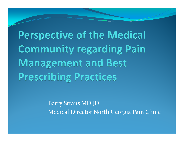**Perspective of the Medical Community regarding Pain Management and Best Prescribing Practices** 

> Barry Straus MD JD Medical Director North Georgia Pain Clinic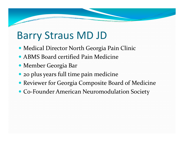### Barry Straus MD JD

- Medical Director North Georgia Pain Clinic
- ABMS Board certified Pain Medicine
- Member Georgia Bar
- 20 plus years full time pain medicine
- Reviewer for Georgia Composite Board of Medicine
- Co-Founder American Neuromodulation Society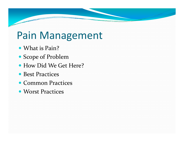# Pain Management

- What is Pain?
- Scope of Problem
- How Did We Get Here?
- Best Practices
- Common Practices
- Worst Practices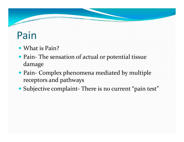#### Pain

- What is Pain?
- Pain‐ The sensation of actual or potential tissue damage
- Pain- Complex phenomena mediated by multiple receptors and pathways
- Subjective complaint- There is no current "pain test"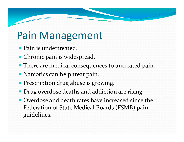# Pain Management

- Pain is undertreated.
- Chronic pain is widespread.
- There are medical consequences to untreated pain.
- Narcotics can help treat pain.
- Prescription drug abuse is growing.
- Drug overdose deaths and addiction are rising.
- Overdose and death rates have increased since the Federation of State Medical Boards (FSMB) pain guidelines.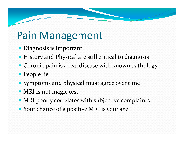# Pain Management

- Diagnosis is important
- History and Physical are still critical to diagnosis
- Chronic pain is <sup>a</sup> real disease with known pathology
- People lie
- Symptoms and physical must agree over time
- MRI is not magic test
- MRI poorly correlates with subjective complaints
- Your chance of <sup>a</sup> positive MRI is your age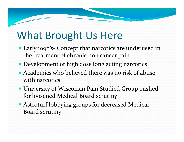- Early 1990's- Concept that narcotics are underused in the treatment of chronic non cancer pain
- Development of high dose long acting narcotics
- Academics who believed there was no risk of abuse with narcotics
- University of Wisconsin Pain Studied Group pushed for loosened Medical Board scrutiny
- Astroturf lobbying groups for decreased Medical Board scrutiny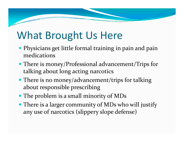- Physicians ge<sup>t</sup> little formal training in pain and pain medications
- There is money/Professional advancement/Trips for talking about long acting narcotics
- There is no money/advancement/trips for talking about responsible prescribing
- The problem is <sup>a</sup> small minority of MDs
- There is <sup>a</sup> larger community of MDs who will justify any use of narcotics (slippery slope defense)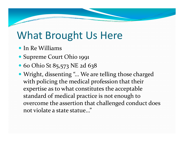- In Re Williams
- Supreme Court Ohio 1991
- 60 Ohio St 85,573 NE 2d 638
- Wright, dissenting "… We are telling those charged with policing the medical profession that their expertise as to what constitutes the acceptable standard of medical practice is not enough to overcome the assertion that challenged conduct does not violate a state statue…"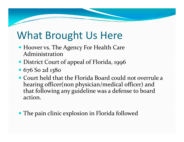- Hoover vs. The Agency For Health Care Administration
- District Court of appeal of Florida, 1996
- 676 So 2d 1380
- $\bullet$  Court held that the Florida Board could not overrule a hearing officer(non <sup>p</sup>hysician/medical officer) and that following any guideline was <sup>a</sup> defense to board action.
- The pain clinic explosion in Florida followed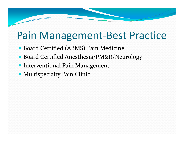#### Pain Management‐Best Practice

- Board Certified (ABMS) Pain Medicine
- Board Certified Anesthesia/PM&R/Neurology
- Interventional Pain Management
- Multispecialty Pain Clinic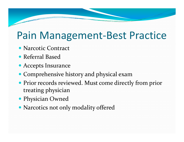# Pain Management‐Best Practice

- Narcotic Contract
- Referral Based
- Accepts Insurance
- Comprehensive history and physical exam
- Prior records reviewed. Must come directly from prior treating physician
- Physician Owned
- Narcotics not only modality offered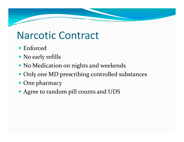# Narcotic Contract

- Enforced
- No early refills
- No Medication on nights and weekends
- Only one MD prescribing controlled substances
- One pharmacy
- Agree to random pill counts and UDS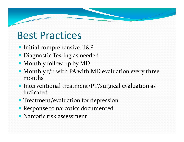### Best Practices

- Initial comprehensive H&P
- Diagnostic Testing as needed
- Monthly follow up by MD
- Monthly f/u with PA with MD evaluation every three months
- Interventional treatment/PT/surgical evaluation as indicated
- Treatment/evaluation for depression
- Response to narcotics documented
- Narcotic risk assessment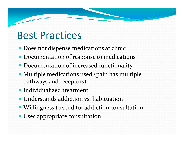#### Best Practices

- Does not dispense medications at clinic
- Documentation of response to medications
- Documentation of increased functionality
- Multiple medications used (pain has multiple pathways and receptors)
- Individualized treatment
- $\bullet$  Understands addiction vs. habituation
- Willingness to send for addiction consultation
- Uses appropriate consultation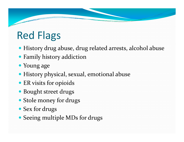# Red Flags

- History drug abuse, drug related arrests, alcohol abuse
- Family history addiction
- Young age
- History physical, sexual, emotional abuse
- ER visits for opioids
- Bought street drugs
- Stole money for drugs
- Sex for drugs
- Seeing multiple MDs for drugs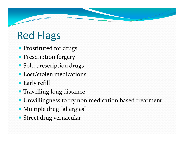# Red Flags

- Prostituted for drugs
- Prescription forgery
- Sold prescription drugs
- Lost/stolen medications
- Early refill
- **Travelling long distance**
- Unwillingness to try non medication based treatment
- Multiple drug "allergies"
- Street drug vernacular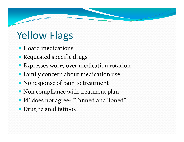# Yellow Flags

- Hoard medications
- Requested specific drugs
- Expresses worry over medication rotation
- Family concern about medication use
- No response of pain to treatment
- Non compliance with treatment plan
- PE does not agree- "Tanned and Toned"
- Drug related tattoos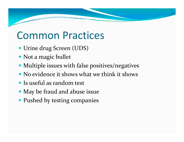# Common Practices

- Urine drug Screen (UDS)
- Not <sup>a</sup> magic bullet
- Multiple issues with false positives/negatives
- No evidence it shows what we think it shows
- Is useful as random test
- May be fraud and abuse issue
- Pushed by testing companies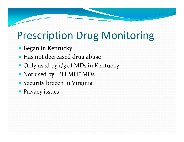#### Prescription Drug Monitoring

- Began in Kentucky
- Has not decreased drug abuse
- Only used by 1/3 of MDs in Kentucky
- Not used by "Pill Mill" MDs
- **Security breech in Virginia**
- **Privacy issues**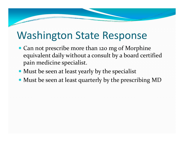#### Washington State Response

- Can not prescribe more than <sup>120</sup> mg of Morphine equivalent daily without <sup>a</sup> consult by <sup>a</sup> board certified pain medicine specialist.
- Must be seen at least yearly by the specialist
- Must be seen at least quarterly by the prescribing MD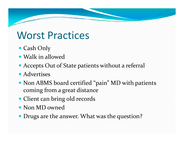### Worst Practices

- Cash Only
- Walk in allowed
- Accepts Out of State patients without <sup>a</sup> referral
- Advertises
- Non ABMS board certified "pain" MD with patients coming from <sup>a</sup> grea<sup>t</sup> distance
- Client can bring old records
- Non MD owned
- Drugs are the answer. What was the question?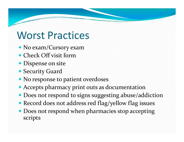# Worst Practices

- No exam/Cursory exam
- Check Off visit form
- Dispense on site
- **Security Guard**
- No response to patient overdoses
- Accepts pharmacy print outs as documentation
- Does not respond to signs suggesting abuse/addiction
- Record does not address red flag/yellow flag issues
- Does not respond when pharmacies stop accepting scripts